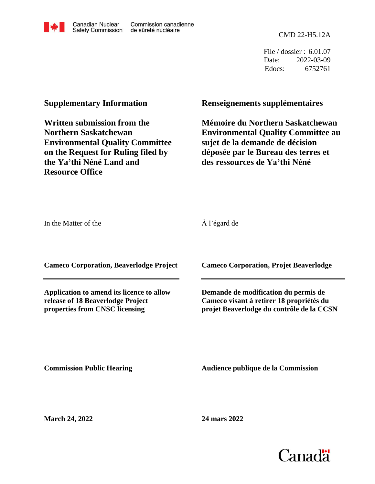CMD 22-H5.12A

File / dossier : 6.01.07 Date: 2022-03-09 Edocs: 6752761

## **Supplementary Information**

**Written submission from the Northern Saskatchewan Environmental Quality Committee on the Request for Ruling filed by the Ya'thi Néné Land and Resource Office**

## **Renseignements supplémentaires**

**Mémoire du Northern Saskatchewan Environmental Quality Committee au sujet de la demande de décision déposée par le Bureau des terres et des ressources de Ya'thi Néné**

In the Matter of the

À l'égard de

**Cameco Corporation, Beaverlodge Project**

**Application to amend its licence to allow release of 18 Beaverlodge Project properties from CNSC licensing**

**Cameco Corporation, Projet Beaverlodge**

**Demande de modification du permis de Cameco visant à retirer 18 propriétés du projet Beaverlodge du contrôle de la CCSN**

**Commission Public Hearing**

**Audience publique de la Commission** 

**March 24, 2022**

**24 mars 2022**

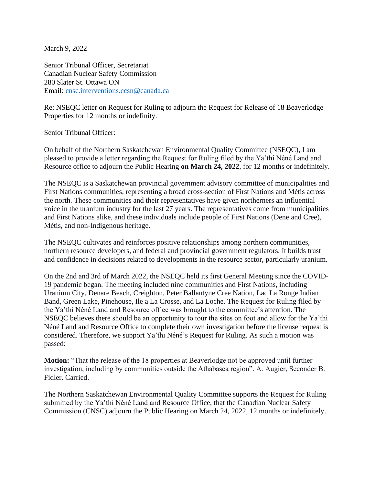March 9, 2022

Senior Tribunal Officer, Secretariat Canadian Nuclear Safety Commission 280 Slater St. Ottawa ON Email: [cnsc.interventions.ccsn@canada.ca](mailto:cnsc.interventions.ccsn@canada.ca)

Re: NSEQC letter on Request for Ruling to adjourn the Request for Release of 18 Beaverlodge Properties for 12 months or indefinity.

Senior Tribunal Officer:

On behalf of the Northern Saskatchewan Environmental Quality Committee (NSEQC), I am pleased to provide a letter regarding the Request for Ruling filed by the Ya'thi Néné Land and Resource office to adjourn the Public Hearing **on March 24, 2022**, for 12 months or indefinitely.

The NSEQC is a Saskatchewan provincial government advisory committee of municipalities and First Nations communities, representing a broad cross-section of First Nations and Métis across the north. These communities and their representatives have given northerners an influential voice in the uranium industry for the last 27 years. The representatives come from municipalities and First Nations alike, and these individuals include people of First Nations (Dene and Cree), Métis, and non-Indigenous heritage.

The NSEQC cultivates and reinforces positive relationships among northern communities, northern resource developers, and federal and provincial government regulators. It builds trust and confidence in decisions related to developments in the resource sector, particularly uranium.

On the 2nd and 3rd of March 2022, the NSEQC held its first General Meeting since the COVID-19 pandemic began. The meeting included nine communities and First Nations, including Uranium City, Denare Beach, Creighton, Peter Ballantyne Cree Nation, Lac La Ronge Indian Band, Green Lake, Pinehouse, Ile a La Crosse, and La Loche. The Request for Ruling filed by the Ya'thi Néné Land and Resource office was brought to the committee's attention. The NSEQC believes there should be an opportunity to tour the sites on foot and allow for the Ya'thi Néné Land and Resource Office to complete their own investigation before the license request is considered. Therefore, we support Ya'thi Néné's Request for Ruling. As such a motion was passed:

**Motion:** "That the release of the 18 properties at Beaverlodge not be approved until further investigation, including by communities outside the Athabasca region". A. Augier, Seconder B. Fidler. Carried.

The Northern Saskatchewan Environmental Quality Committee supports the Request for Ruling submitted by the Ya'thi Néné Land and Resource Office, that the Canadian Nuclear Safety Commission (CNSC) adjourn the Public Hearing on March 24, 2022, 12 months or indefinitely.